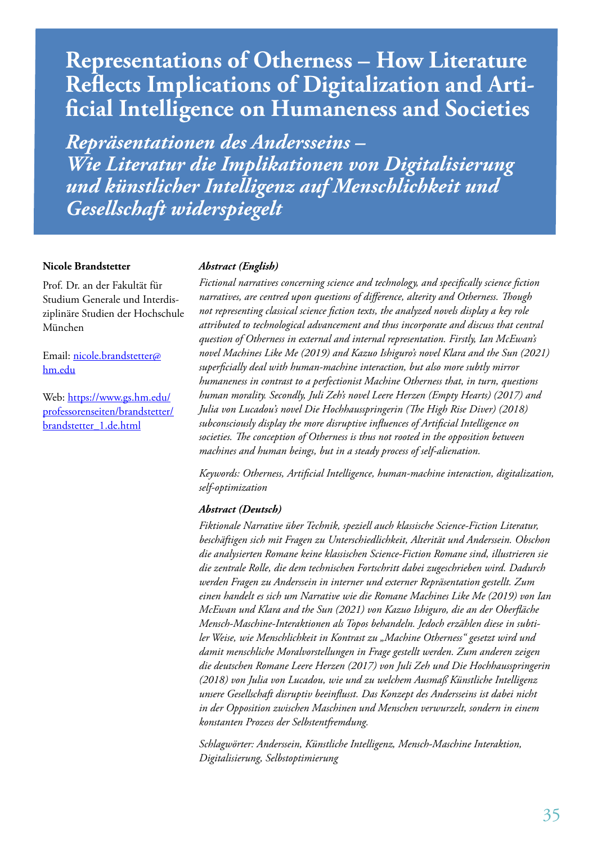# **Representations of Otherness – How Literature Reflects Implications of Digitalization and Arti- ficial Intelligence on Humaneness and Societies**

*Repräsentationen des Andersseins – Wie Literatur die Implikationen von Digitalisierung und künstlicher Intelligenz auf Menschlichkeit und Gesellschaft widerspiegelt*

#### **Nicole Brandstetter**

Prof. Dr. an der Fakultät für Studium Generale und Interdisziplinäre Studien der Hochschule München

Email: nicole.brandstetter@ hm.edu

Web: https://www.gs.hm.edu/ professorenseiten/brandstetter/ brandstetter\_1.de.html

### *Abstract (English)*

*Fictional narratives concerning science and technology, and specifically science fiction narratives, are centred upon questions of difference, alterity and Otherness. Though not representing classical science fiction texts, the analyzed novels display a key role attributed to technological advancement and thus incorporate and discuss that central question of Otherness in external and internal representation. Firstly, Ian McEwan's novel Machines Like Me (2019) and Kazuo Ishiguro's novel Klara and the Sun (2021) superficially deal with human-machine interaction, but also more subtly mirror humaneness in contrast to a perfectionist Machine Otherness that, in turn, questions human morality. Secondly, Juli Zeh's novel Leere Herzen (Empty Hearts) (2017) and Julia von Lucadou's novel Die Hochhausspringerin (The High Rise Diver) (2018) subconsciously display the more disruptive influences of Artificial Intelligence on societies. The conception of Otherness is thus not rooted in the opposition between machines and human beings, but in a steady process of self-alienation.* 

*Keywords: Otherness, Artificial Intelligence, human-machine interaction, digitalization, self-optimization*

#### *Abstract (Deutsch)*

*Fiktionale Narrative über Technik, speziell auch klassische Science-Fiction Literatur, beschäftigen sich mit Fragen zu Unterschiedlichkeit, Alterität und Anderssein. Obschon die analysierten Romane keine klassischen Science-Fiction Romane sind, illustrieren sie die zentrale Rolle, die dem technischen Fortschritt dabei zugeschrieben wird. Dadurch werden Fragen zu Anderssein in interner und externer Repräsentation gestellt. Zum einen handelt es sich um Narrative wie die Romane Machines Like Me (2019) von Ian McEwan und Klara and the Sun (2021) von Kazuo Ishiguro, die an der Oberfläche Mensch-Maschine-Interaktionen als Topos behandeln. Jedoch erzählen diese in subtiler Weise, wie Menschlichkeit in Kontrast zu "Machine Otherness" gesetzt wird und damit menschliche Moralvorstellungen in Frage gestellt werden. Zum anderen zeigen die deutschen Romane Leere Herzen (2017) von Juli Zeh und Die Hochhausspringerin (2018) von Julia von Lucadou, wie und zu welchem Ausmaß Künstliche Intelligenz unsere Gesellschaft disruptiv beeinflusst. Das Konzept des Andersseins ist dabei nicht in der Opposition zwischen Maschinen und Menschen verwurzelt, sondern in einem konstanten Prozess der Selbstentfremdung.*

*Schlagwörter: Anderssein, Künstliche Intelligenz, Mensch-Maschine Interaktion, Digitalisierung, Selbstoptimierung*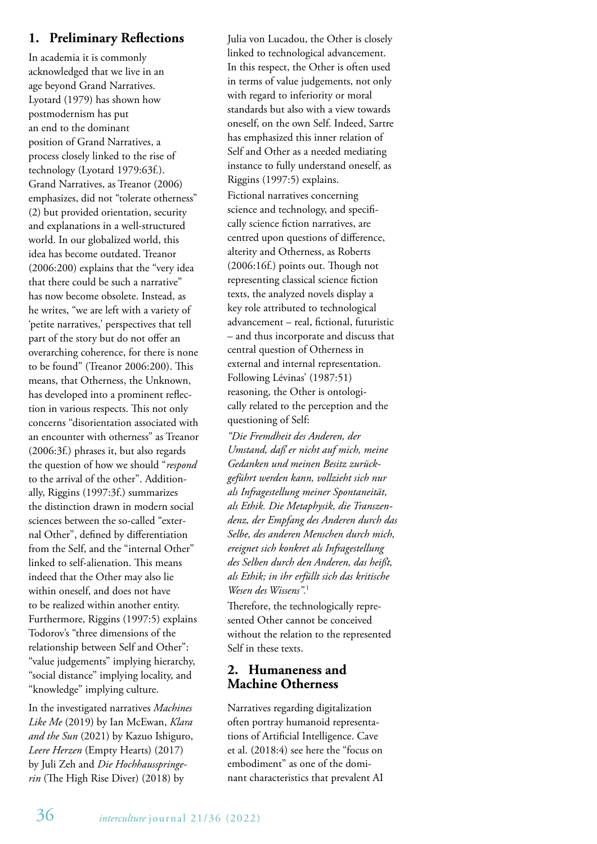# **1. Preliminary Reflections**

In academia it is commonly acknowledged that we live in an age beyond Grand Narratives. Lyotard (1979) has shown how postmodernism has put an end to the dominant position of Grand Narratives, a process closely linked to the rise of technology (Lyotard 1979:63f.). Grand Narratives, as Treanor (2006) emphasizes, did not "tolerate otherness" (2) but provided orientation, security and explanations in a well-structured world. In our globalized world, this idea has become outdated. Treanor (2006:200) explains that the "very idea that there could be such a narrative" has now become obsolete. Instead, as he writes, "we are left with a variety of 'petite narratives,' perspectives that tell part of the story but do not offer an overarching coherence, for there is none to be found" (Treanor 2006:200). This means, that Otherness, the Unknown, has developed into a prominent reflection in various respects. This not only concerns "disorientation associated with an encounter with otherness" as Treanor (2006:3f.) phrases it, but also regards the question of how we should "*respond* to the arrival of the other". Additionally, Riggins (1997:3f.) summarizes the distinction drawn in modern social sciences between the so-called "external Other", defined by differentiation from the Self, and the "internal Other" linked to self-alienation. This means indeed that the Other may also lie within oneself, and does not have to be realized within another entity. Furthermore, Riggins (1997:5) explains Todorov's "three dimensions of the relationship between Self and Other": "value judgements" implying hierarchy, "social distance" implying locality, and "knowledge" implying culture.

In the investigated narratives *Machines Like Me* (2019) by Ian McEwan, *Klara and the Sun* (2021) by Kazuo Ishiguro, *Leere Herzen* (Empty Hearts) (2017) by Juli Zeh and *Die Hochhausspringerin* (The High Rise Diver) (2018) by

Julia von Lucadou, the Other is closely linked to technological advancement. In this respect, the Other is often used in terms of value judgements, not only with regard to inferiority or moral standards but also with a view towards oneself, on the own Self. Indeed, Sartre has emphasized this inner relation of Self and Other as a needed mediating instance to fully understand oneself, as Riggins (1997:5) explains.

Fictional narratives concerning science and technology, and specifically science fiction narratives, are centred upon questions of difference, alterity and Otherness, as Roberts (2006:16f.) points out. Though not representing classical science fiction texts, the analyzed novels display a key role attributed to technological advancement – real, fictional, futuristic – and thus incorporate and discuss that central question of Otherness in external and internal representation. Following Lévinas' (1987:51) reasoning, the Other is ontologically related to the perception and the questioning of Self:

*"Die Fremdheit des Anderen, der Umstand, daß er nicht auf mich, meine Gedanken und meinen Besitz zurückgeführt werden kann, vollzieht sich nur als Infragestellung meiner Spontaneität, als Ethik. Die Metaphysik, die Transzendenz, der Empfang des Anderen durch das Selbe, des anderen Menschen durch mich, ereignet sich konkret als Infragestellung des Selben durch den Anderen, das heißt, als Ethik; in ihr erfüllt sich das kritische Wesen des Wissens".*<sup>1</sup>

Therefore, the technologically represented Other cannot be conceived without the relation to the represented Self in these texts.

# **2. Humaneness and Machine Otherness**

Narratives regarding digitalization often portray humanoid representations of Artificial Intelligence. Cave et al. (2018:4) see here the "focus on embodiment" as one of the dominant characteristics that prevalent AI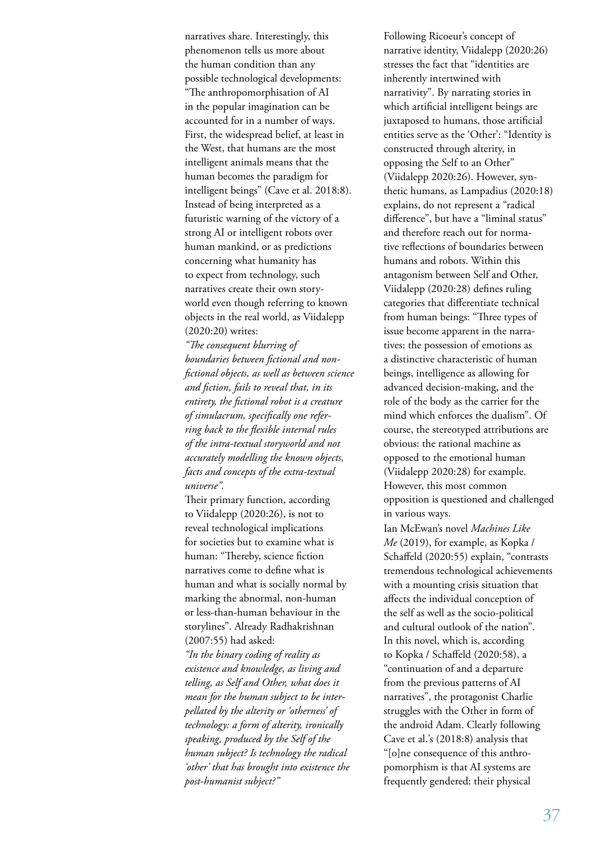narratives share. Interestingly, this phenomenon tells us more about the human condition than any possible technological developments: "The anthropomorphisation of AI in the popular imagination can be accounted for in a number of ways. First, the widespread belief, at least in the West, that humans are the most intelligent animals means that the human becomes the paradigm for intelligent beings" (Cave et al. 2018:8). Instead of being interpreted as a futuristic warning of the victory of a strong AI or intelligent robots over human mankind, or as predictions concerning what humanity has to expect from technology, such narratives create their own storyworld even though referring to known objects in the real world, as Viidalepp (2020:20) writes:

*"The consequent blurring of boundaries between fictional and nonfictional objects, as well as between science and fiction, fails to reveal that, in its entirety, the fictional robot is a creature of simulacrum, specifically one referring back to the flexible internal rules of the intra-textual storyworld and not accurately modelling the known objects, facts and concepts of the extra-textual universe".*

Their primary function, according to Viidalepp (2020:26), is not to reveal technological implications for societies but to examine what is human: "Thereby, science fiction narratives come to define what is human and what is socially normal by marking the abnormal, non-human or less-than-human behaviour in the storylines". Already Radhakrishnan (2007:55) had asked:

*"In the binary coding of reality as existence and knowledge, as living and telling, as Self and Other, what does it mean for the human subject to be interpellated by the alterity or 'otherness' of technology: a form of alterity, ironically speaking, produced by the Self of the human subject? Is technology the radical 'other' that has brought into existence the post-humanist subject?"*

Following Ricoeur's concept of narrative identity, Viidalepp (2020:26) stresses the fact that "identities are inherently intertwined with narrativity". By narrating stories in which artificial intelligent beings are juxtaposed to humans, those artificial entities serve as the 'Other': "Identity is constructed through alterity, in opposing the Self to an Other" (Viidalepp 2020:26). However, synthetic humans, as Lampadius (2020:18) explains, do not represent a "radical difference", but have a "liminal status" and therefore reach out for normative reflections of boundaries between humans and robots. Within this antagonism between Self and Other, Viidalepp (2020:28) defines ruling categories that differentiate technical from human beings: "Three types of issue become apparent in the narratives: the possession of emotions as a distinctive characteristic of human beings, intelligence as allowing for advanced decision-making, and the role of the body as the carrier for the mind which enforces the dualism". Of course, the stereotyped attributions are obvious: the rational machine as opposed to the emotional human (Viidalepp 2020:28) for example. However, this most common opposition is questioned and challenged in various ways.

Ian McEwan's novel *Machines Like Me* (2019), for example, as Kopka / Schaffeld (2020:55) explain, "contrasts tremendous technological achievements with a mounting crisis situation that affects the individual conception of the self as well as the socio-political and cultural outlook of the nation". In this novel, which is, according to Kopka / Schaffeld (2020:58), a "continuation of and a departure from the previous patterns of AI narratives", the protagonist Charlie struggles with the Other in form of the android Adam. Clearly following Cave et al.'s (2018:8) analysis that "[o]ne consequence of this anthropomorphism is that AI systems are frequently gendered: their physical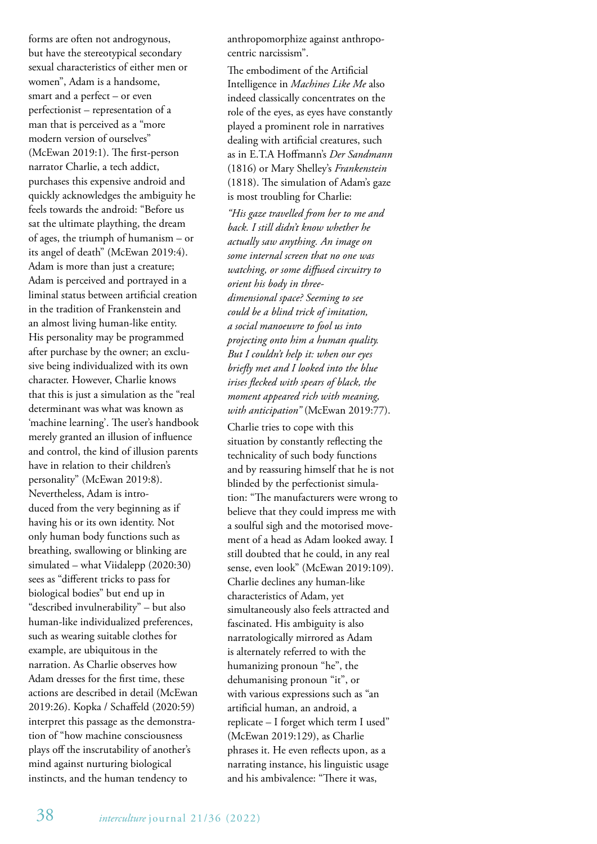forms are often not androgynous, but have the stereotypical secondary sexual characteristics of either men or women", Adam is a handsome, smart and a perfect – or even perfectionist – representation of a man that is perceived as a "more modern version of ourselves" (McEwan 2019:1). The first-person narrator Charlie, a tech addict, purchases this expensive android and quickly acknowledges the ambiguity he feels towards the android: "Before us sat the ultimate plaything, the dream of ages, the triumph of humanism – or its angel of death" (McEwan 2019:4). Adam is more than just a creature; Adam is perceived and portrayed in a liminal status between artificial creation in the tradition of Frankenstein and an almost living human-like entity. His personality may be programmed after purchase by the owner; an exclusive being individualized with its own character. However, Charlie knows that this is just a simulation as the "real determinant was what was known as 'machine learning'. The user's handbook merely granted an illusion of influence and control, the kind of illusion parents have in relation to their children's personality" (McEwan 2019:8). Nevertheless, Adam is introduced from the very beginning as if having his or its own identity. Not only human body functions such as breathing, swallowing or blinking are simulated – what Viidalepp (2020:30) sees as "different tricks to pass for biological bodies" but end up in "described invulnerability" – but also human-like individualized preferences, such as wearing suitable clothes for example, are ubiquitous in the narration. As Charlie observes how Adam dresses for the first time, these actions are described in detail (McEwan 2019:26). Kopka / Schaffeld (2020:59) interpret this passage as the demonstration of "how machine consciousness plays off the inscrutability of another's mind against nurturing biological instincts, and the human tendency to

anthropomorphize against anthropocentric narcissism".

The embodiment of the Artificial Intelligence in *Machines Like Me* also indeed classically concentrates on the role of the eyes, as eyes have constantly played a prominent role in narratives dealing with artificial creatures, such as in E.T.A Hoffmann's *Der Sandmann* (1816) or Mary Shelley's *Frankenstein* (1818). The simulation of Adam's gaze is most troubling for Charlie:

*"His gaze travelled from her to me and back. I still didn't know whether he actually saw anything. An image on some internal screen that no one was watching, or some diffused circuitry to orient his body in threedimensional space? Seeming to see could be a blind trick of imitation, a social manoeuvre to fool us into projecting onto him a human quality. But I couldn't help it: when our eyes briefly met and I looked into the blue irises flecked with spears of black, the moment appeared rich with meaning, with anticipation"* (McEwan 2019:77).

Charlie tries to cope with this situation by constantly reflecting the technicality of such body functions and by reassuring himself that he is not blinded by the perfectionist simulation: "The manufacturers were wrong to believe that they could impress me with a soulful sigh and the motorised movement of a head as Adam looked away. I still doubted that he could, in any real sense, even look" (McEwan 2019:109). Charlie declines any human-like characteristics of Adam, yet simultaneously also feels attracted and fascinated. His ambiguity is also narratologically mirrored as Adam is alternately referred to with the humanizing pronoun "he", the dehumanising pronoun "it", or with various expressions such as "an artificial human, an android, a replicate – I forget which term I used" (McEwan 2019:129), as Charlie phrases it. He even reflects upon, as a narrating instance, his linguistic usage and his ambivalence: "There it was,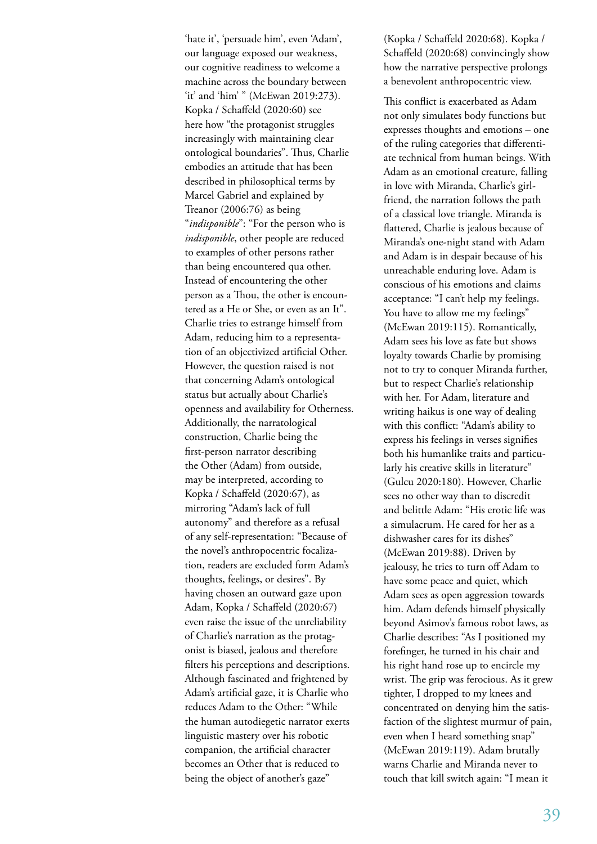'hate it', 'persuade him', even 'Adam', our language exposed our weakness, our cognitive readiness to welcome a machine across the boundary between 'it' and 'him' " (McEwan 2019:273). Kopka / Schaffeld (2020:60) see here how "the protagonist struggles increasingly with maintaining clear ontological boundaries". Thus, Charlie embodies an attitude that has been described in philosophical terms by Marcel Gabriel and explained by Treanor (2006:76) as being "*indisponible*": "For the person who is *indisponible*, other people are reduced to examples of other persons rather than being encountered qua other. Instead of encountering the other person as a Thou, the other is encountered as a He or She, or even as an It". Charlie tries to estrange himself from Adam, reducing him to a representation of an objectivized artificial Other. However, the question raised is not that concerning Adam's ontological status but actually about Charlie's openness and availability for Otherness. Additionally, the narratological construction, Charlie being the first-person narrator describing the Other (Adam) from outside, may be interpreted, according to Kopka / Schaffeld (2020:67), as mirroring "Adam's lack of full autonomy" and therefore as a refusal of any self-representation: "Because of the novel's anthropocentric focalization, readers are excluded form Adam's thoughts, feelings, or desires". By having chosen an outward gaze upon Adam, Kopka / Schaffeld (2020:67) even raise the issue of the unreliability of Charlie's narration as the protagonist is biased, jealous and therefore filters his perceptions and descriptions. Although fascinated and frightened by Adam's artificial gaze, it is Charlie who reduces Adam to the Other: "While the human autodiegetic narrator exerts linguistic mastery over his robotic companion, the artificial character becomes an Other that is reduced to being the object of another's gaze"

(Kopka / Schaffeld 2020:68). Kopka / Schaffeld (2020:68) convincingly show how the narrative perspective prolongs a benevolent anthropocentric view.

This conflict is exacerbated as Adam not only simulates body functions but expresses thoughts and emotions – one of the ruling categories that differentiate technical from human beings. With Adam as an emotional creature, falling in love with Miranda, Charlie's girlfriend, the narration follows the path of a classical love triangle. Miranda is flattered, Charlie is jealous because of Miranda's one-night stand with Adam and Adam is in despair because of his unreachable enduring love. Adam is conscious of his emotions and claims acceptance: "I can't help my feelings. You have to allow me my feelings" (McEwan 2019:115). Romantically, Adam sees his love as fate but shows loyalty towards Charlie by promising not to try to conquer Miranda further, but to respect Charlie's relationship with her. For Adam, literature and writing haikus is one way of dealing with this conflict: "Adam's ability to express his feelings in verses signifies both his humanlike traits and particularly his creative skills in literature" (Gulcu 2020:180). However, Charlie sees no other way than to discredit and belittle Adam: "His erotic life was a simulacrum. He cared for her as a dishwasher cares for its dishes" (McEwan 2019:88). Driven by jealousy, he tries to turn off Adam to have some peace and quiet, which Adam sees as open aggression towards him. Adam defends himself physically beyond Asimov's famous robot laws, as Charlie describes: "As I positioned my forefinger, he turned in his chair and his right hand rose up to encircle my wrist. The grip was ferocious. As it grew tighter, I dropped to my knees and concentrated on denying him the satisfaction of the slightest murmur of pain, even when I heard something snap" (McEwan 2019:119). Adam brutally warns Charlie and Miranda never to touch that kill switch again: "I mean it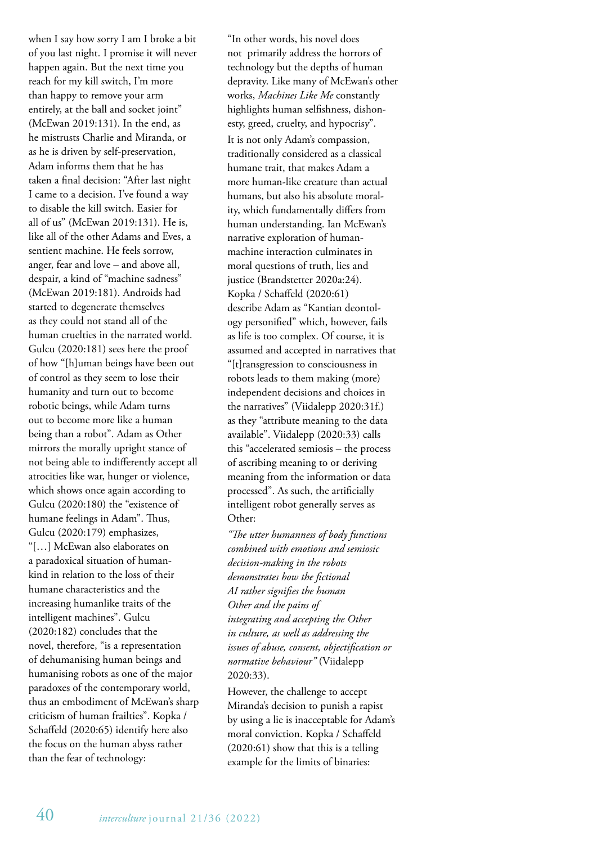when I say how sorry I am I broke a bit of you last night. I promise it will never happen again. But the next time you reach for my kill switch, I'm more than happy to remove your arm entirely, at the ball and socket joint" (McEwan 2019:131). In the end, as he mistrusts Charlie and Miranda, or as he is driven by self-preservation, Adam informs them that he has taken a final decision: "After last night I came to a decision. I've found a way to disable the kill switch. Easier for all of us" (McEwan 2019:131). He is, like all of the other Adams and Eves, a sentient machine. He feels sorrow, anger, fear and love – and above all, despair, a kind of "machine sadness" (McEwan 2019:181). Androids had started to degenerate themselves as they could not stand all of the human cruelties in the narrated world. Gulcu (2020:181) sees here the proof of how "[h]uman beings have been out of control as they seem to lose their humanity and turn out to become robotic beings, while Adam turns out to become more like a human being than a robot". Adam as Other mirrors the morally upright stance of not being able to indifferently accept all atrocities like war, hunger or violence, which shows once again according to Gulcu (2020:180) the "existence of humane feelings in Adam". Thus, Gulcu (2020:179) emphasizes, "[…] McEwan also elaborates on a paradoxical situation of humankind in relation to the loss of their humane characteristics and the increasing humanlike traits of the intelligent machines". Gulcu (2020:182) concludes that the novel, therefore, "is a representation of dehumanising human beings and humanising robots as one of the major paradoxes of the contemporary world, thus an embodiment of McEwan's sharp criticism of human frailties". Kopka / Schaffeld (2020:65) identify here also the focus on the human abyss rather than the fear of technology:

"In other words, his novel does not primarily address the horrors of technology but the depths of human depravity. Like many of McEwan's other works, *Machines Like Me* constantly highlights human selfishness, dishonesty, greed, cruelty, and hypocrisy". It is not only Adam's compassion, traditionally considered as a classical humane trait, that makes Adam a more human-like creature than actual humans, but also his absolute morality, which fundamentally differs from human understanding. Ian McEwan's narrative exploration of humanmachine interaction culminates in moral questions of truth, lies and justice (Brandstetter 2020a:24). Kopka / Schaffeld (2020:61) describe Adam as "Kantian deontology personified" which, however, fails as life is too complex. Of course, it is assumed and accepted in narratives that "[t]ransgression to consciousness in robots leads to them making (more) independent decisions and choices in the narratives" (Viidalepp 2020:31f.) as they "attribute meaning to the data available". Viidalepp (2020:33) calls this "accelerated semiosis – the process of ascribing meaning to or deriving meaning from the information or data processed". As such, the artificially intelligent robot generally serves as Other:

*"The utter humanness of body functions combined with emotions and semiosic decision-making in the robots demonstrates how the fictional AI rather signifies the human Other and the pains of integrating and accepting the Other in culture, as well as addressing the issues of abuse, consent, objectification or normative behaviour"* (Viidalepp 2020:33).

However, the challenge to accept Miranda's decision to punish a rapist by using a lie is inacceptable for Adam's moral conviction. Kopka / Schaffeld (2020:61) show that this is a telling example for the limits of binaries: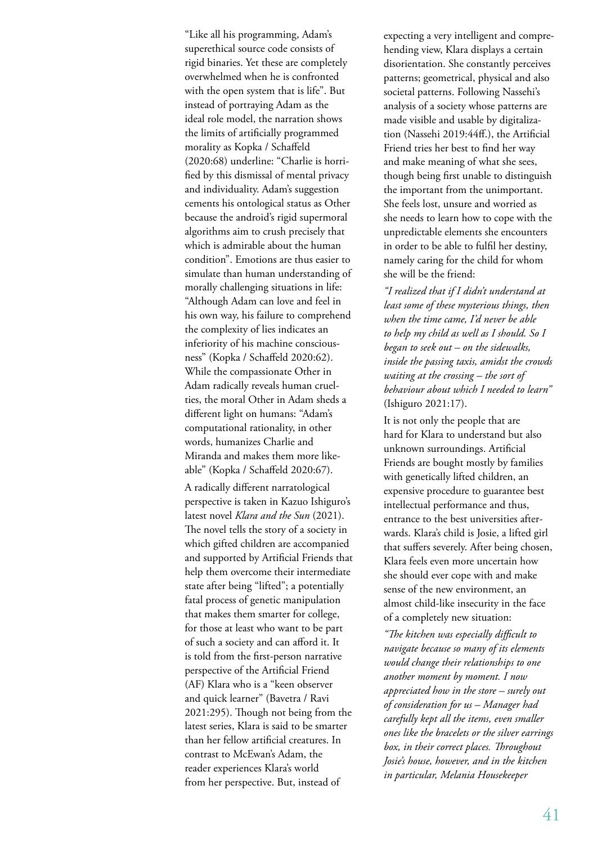"Like all his programming, Adam's superethical source code consists of rigid binaries. Yet these are completely overwhelmed when he is confronted with the open system that is life". But instead of portraying Adam as the ideal role model, the narration shows the limits of artificially programmed morality as Kopka / Schaffeld (2020:68) underline: "Charlie is horrified by this dismissal of mental privacy and individuality. Adam's suggestion cements his ontological status as Other because the android's rigid supermoral algorithms aim to crush precisely that which is admirable about the human condition". Emotions are thus easier to simulate than human understanding of morally challenging situations in life: "Although Adam can love and feel in his own way, his failure to comprehend the complexity of lies indicates an inferiority of his machine consciousness" (Kopka / Schaffeld 2020:62). While the compassionate Other in Adam radically reveals human cruelties, the moral Other in Adam sheds a different light on humans: "Adam's computational rationality, in other words, humanizes Charlie and Miranda and makes them more likeable" (Kopka / Schaffeld 2020:67).

A radically different narratological perspective is taken in Kazuo Ishiguro's latest novel *Klara and the Sun* (2021). The novel tells the story of a society in which gifted children are accompanied and supported by Artificial Friends that help them overcome their intermediate state after being "lifted"; a potentially fatal process of genetic manipulation that makes them smarter for college, for those at least who want to be part of such a society and can afford it. It is told from the first-person narrative perspective of the Artificial Friend (AF) Klara who is a "keen observer and quick learner" (Bavetra / Ravi 2021:295). Though not being from the latest series, Klara is said to be smarter than her fellow artificial creatures. In contrast to McEwan's Adam, the reader experiences Klara's world from her perspective. But, instead of

expecting a very intelligent and comprehending view, Klara displays a certain disorientation. She constantly perceives patterns; geometrical, physical and also societal patterns. Following Nassehi's analysis of a society whose patterns are made visible and usable by digitalization (Nassehi 2019:44ff.), the Artificial Friend tries her best to find her way and make meaning of what she sees, though being first unable to distinguish the important from the unimportant. She feels lost, unsure and worried as she needs to learn how to cope with the unpredictable elements she encounters in order to be able to fulfil her destiny, namely caring for the child for whom she will be the friend:

*"I realized that if I didn't understand at least some of these mysterious things, then when the time came, I'd never be able to help my child as well as I should. So I began to seek out – on the sidewalks, inside the passing taxis, amidst the crowds waiting at the crossing – the sort of behaviour about which I needed to learn"* (Ishiguro 2021:17).

It is not only the people that are hard for Klara to understand but also unknown surroundings. Artificial Friends are bought mostly by families with genetically lifted children, an expensive procedure to guarantee best intellectual performance and thus, entrance to the best universities afterwards. Klara's child is Josie, a lifted girl that suffers severely. After being chosen, Klara feels even more uncertain how she should ever cope with and make sense of the new environment, an almost child-like insecurity in the face of a completely new situation:

*"The kitchen was especially difficult to navigate because so many of its elements would change their relationships to one another moment by moment. I now appreciated how in the store – surely out of consideration for us – Manager had carefully kept all the items, even smaller ones like the bracelets or the silver earrings box, in their correct places. Throughout Josie's house, however, and in the kitchen in particular, Melania Housekeeper*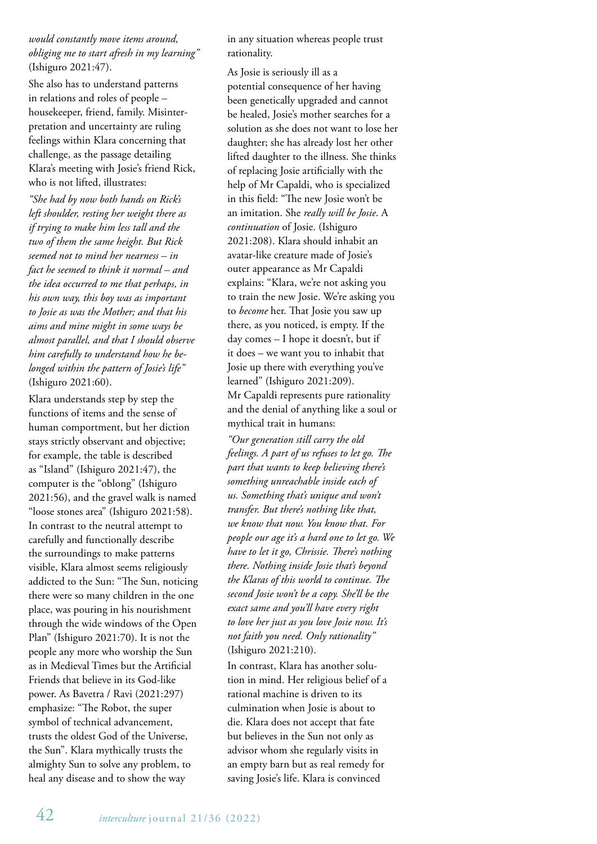## *would constantly move items around, obliging me to start afresh in my learning"* (Ishiguro 2021:47).

She also has to understand patterns in relations and roles of people – housekeeper, friend, family. Misinterpretation and uncertainty are ruling feelings within Klara concerning that challenge, as the passage detailing Klara's meeting with Josie's friend Rick, who is not lifted, illustrates:

*"She had by now both hands on Rick's left shoulder, resting her weight there as if trying to make him less tall and the two of them the same height. But Rick seemed not to mind her nearness – in fact he seemed to think it normal – and the idea occurred to me that perhaps, in his own way, this boy was as important to Josie as was the Mother; and that his aims and mine might in some ways be almost parallel, and that I should observe him carefully to understand how he belonged within the pattern of Josie's life"* (Ishiguro 2021:60).

Klara understands step by step the functions of items and the sense of human comportment, but her diction stays strictly observant and objective; for example, the table is described as "Island" (Ishiguro 2021:47), the computer is the "oblong" (Ishiguro 2021:56), and the gravel walk is named "loose stones area" (Ishiguro 2021:58). In contrast to the neutral attempt to carefully and functionally describe the surroundings to make patterns visible, Klara almost seems religiously addicted to the Sun: "The Sun, noticing there were so many children in the one place, was pouring in his nourishment through the wide windows of the Open Plan" (Ishiguro 2021:70). It is not the people any more who worship the Sun as in Medieval Times but the Artificial Friends that believe in its God-like power. As Bavetra / Ravi (2021:297) emphasize: "The Robot, the super symbol of technical advancement, trusts the oldest God of the Universe, the Sun". Klara mythically trusts the almighty Sun to solve any problem, to heal any disease and to show the way

in any situation whereas people trust rationality.

As Josie is seriously ill as a potential consequence of her having been genetically upgraded and cannot be healed, Josie's mother searches for a solution as she does not want to lose her daughter; she has already lost her other lifted daughter to the illness. She thinks of replacing Josie artificially with the help of Mr Capaldi, who is specialized in this field: "The new Josie won't be an imitation. She *really will be Josie*. A *continuation* of Josie. (Ishiguro 2021:208). Klara should inhabit an avatar-like creature made of Josie's outer appearance as Mr Capaldi explains: "Klara, we're not asking you to train the new Josie. We're asking you to *become* her. That Josie you saw up there, as you noticed, is empty. If the day comes – I hope it doesn't, but if it does – we want you to inhabit that Josie up there with everything you've learned" (Ishiguro 2021:209). Mr Capaldi represents pure rationality and the denial of anything like a soul or mythical trait in humans:

*"Our generation still carry the old feelings. A part of us refuses to let go. The part that wants to keep believing there's something unreachable inside each of us. Something that's unique and won't transfer. But there's nothing like that, we know that now. You know that. For people our age it's a hard one to let go. We have to let it go, Chrissie. There's nothing there. Nothing inside Josie that's beyond the Klaras of this world to continue. The second Josie won't be a copy. She'll be the exact same and you'll have every right to love her just as you love Josie now. It's not faith you need. Only rationality"* (Ishiguro 2021:210).

In contrast, Klara has another solution in mind. Her religious belief of a rational machine is driven to its culmination when Josie is about to die. Klara does not accept that fate but believes in the Sun not only as advisor whom she regularly visits in an empty barn but as real remedy for saving Josie's life. Klara is convinced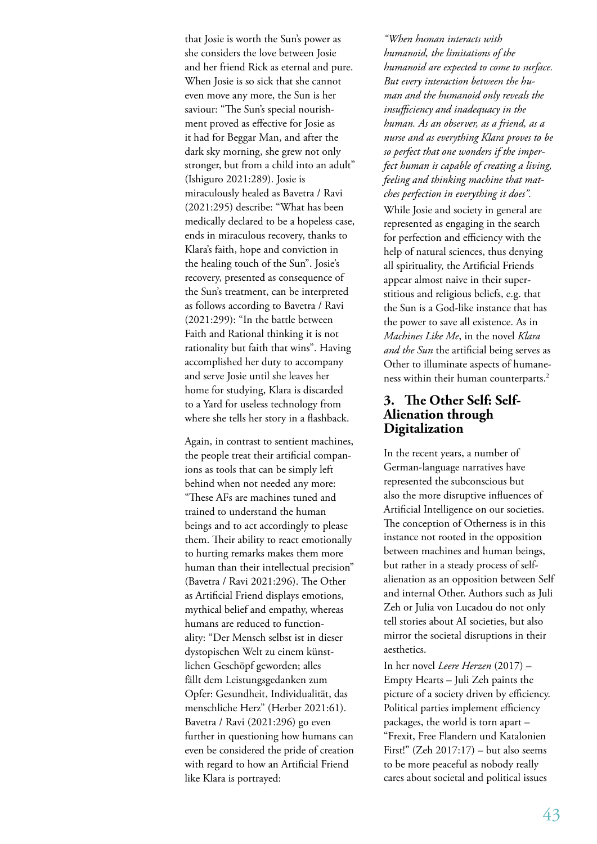that Josie is worth the Sun's power as she considers the love between Josie and her friend Rick as eternal and pure. When Josie is so sick that she cannot even move any more, the Sun is her saviour: "The Sun's special nourishment proved as effective for Josie as it had for Beggar Man, and after the dark sky morning, she grew not only stronger, but from a child into an adult" (Ishiguro 2021:289). Josie is miraculously healed as Bavetra / Ravi (2021:295) describe: "What has been medically declared to be a hopeless case, ends in miraculous recovery, thanks to Klara's faith, hope and conviction in the healing touch of the Sun". Josie's recovery, presented as consequence of the Sun's treatment, can be interpreted as follows according to Bavetra / Ravi (2021:299): "In the battle between Faith and Rational thinking it is not rationality but faith that wins". Having accomplished her duty to accompany and serve Josie until she leaves her home for studying, Klara is discarded to a Yard for useless technology from where she tells her story in a flashback.

Again, in contrast to sentient machines, the people treat their artificial companions as tools that can be simply left behind when not needed any more: "These AFs are machines tuned and trained to understand the human beings and to act accordingly to please them. Their ability to react emotionally to hurting remarks makes them more human than their intellectual precision" (Bavetra / Ravi 2021:296). The Other as Artificial Friend displays emotions, mythical belief and empathy, whereas humans are reduced to functionality: "Der Mensch selbst ist in dieser dystopischen Welt zu einem künstlichen Geschöpf geworden; alles fällt dem Leistungsgedanken zum Opfer: Gesundheit, Individualität, das menschliche Herz" (Herber 2021:61). Bavetra / Ravi (2021:296) go even further in questioning how humans can even be considered the pride of creation with regard to how an Artificial Friend like Klara is portrayed:

*"When human interacts with humanoid, the limitations of the humanoid are expected to come to surface. But every interaction between the human and the humanoid only reveals the insufficiency and inadequacy in the human. As an observer, as a friend, as a nurse and as everything Klara proves to be so perfect that one wonders if the imperfect human is capable of creating a living, feeling and thinking machine that matches perfection in everything it does".* While Josie and society in general are represented as engaging in the search for perfection and efficiency with the help of natural sciences, thus denying all spirituality, the Artificial Friends appear almost naive in their superstitious and religious beliefs, e.g. that the Sun is a God-like instance that has the power to save all existence. As in *Machines Like Me*, in the novel *Klara and the Sun* the artificial being serves as Other to illuminate aspects of humaneness within their human counterparts.<sup>2</sup>

## **3. The Other Self: Self-Alienation through Digitalization**

In the recent years, a number of German-language narratives have represented the subconscious but also the more disruptive influences of Artificial Intelligence on our societies. The conception of Otherness is in this instance not rooted in the opposition between machines and human beings, but rather in a steady process of selfalienation as an opposition between Self and internal Other. Authors such as Juli Zeh or Julia von Lucadou do not only tell stories about AI societies, but also mirror the societal disruptions in their aesthetics.

In her novel *Leere Herzen* (2017) – Empty Hearts – Juli Zeh paints the picture of a society driven by efficiency. Political parties implement efficiency packages, the world is torn apart – "Frexit, Free Flandern und Katalonien First!" (Zeh 2017:17) – but also seems to be more peaceful as nobody really cares about societal and political issues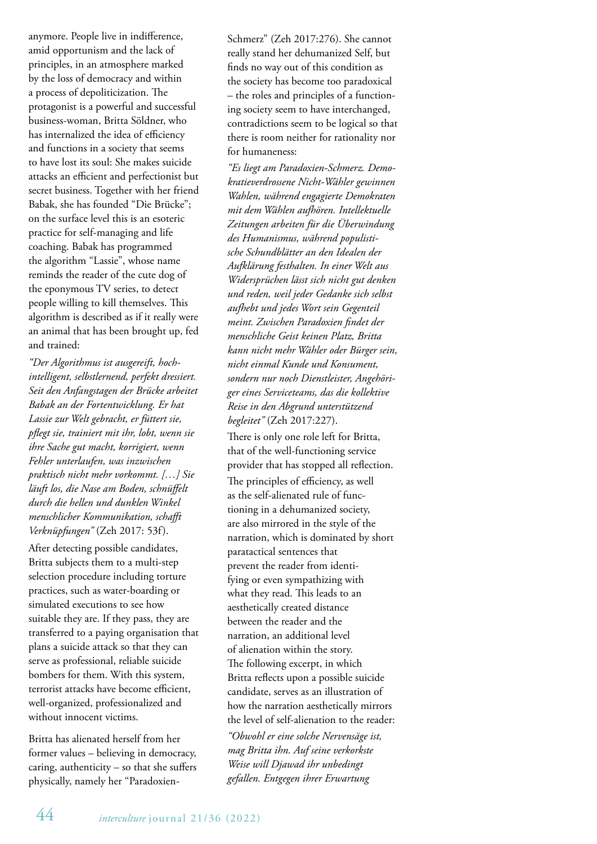anymore. People live in indifference, amid opportunism and the lack of principles, in an atmosphere marked by the loss of democracy and within a process of depoliticization. The protagonist is a powerful and successful business-woman, Britta Söldner, who has internalized the idea of efficiency and functions in a society that seems to have lost its soul: She makes suicide attacks an efficient and perfectionist but secret business. Together with her friend Babak, she has founded "Die Brücke"; on the surface level this is an esoteric practice for self-managing and life coaching. Babak has programmed the algorithm "Lassie", whose name reminds the reader of the cute dog of the eponymous TV series, to detect people willing to kill themselves. This algorithm is described as if it really were an animal that has been brought up, fed and trained:

*"Der Algorithmus ist ausgereift, hochintelligent, selbstlernend, perfekt dressiert. Seit den Anfangstagen der Brücke arbeitet Babak an der Fortentwicklung. Er hat Lassie zur Welt gebracht, er füttert sie, pflegt sie, trainiert mit ihr, lobt, wenn sie ihre Sache gut macht, korrigiert, wenn Fehler unterlaufen, was inzwischen praktisch nicht mehr vorkommt. […] Sie läuft los, die Nase am Boden, schnüffelt durch die hellen und dunklen Winkel menschlicher Kommunikation, schafft Verknüpfungen"* (Zeh 2017: 53f).

After detecting possible candidates, Britta subjects them to a multi-step selection procedure including torture practices, such as water-boarding or simulated executions to see how suitable they are. If they pass, they are transferred to a paying organisation that plans a suicide attack so that they can serve as professional, reliable suicide bombers for them. With this system, terrorist attacks have become efficient, well-organized, professionalized and without innocent victims.

Britta has alienated herself from her former values – believing in democracy, caring, authenticity – so that she suffers physically, namely her "ParadoxienSchmerz" (Zeh 2017:276). She cannot really stand her dehumanized Self, but finds no way out of this condition as the society has become too paradoxical – the roles and principles of a functioning society seem to have interchanged, contradictions seem to be logical so that there is room neither for rationality nor for humaneness:

*"Es liegt am Paradoxien-Schmerz. Demokratieverdrossene Nicht-Wähler gewinnen Wahlen, während engagierte Demokraten mit dem Wählen aufhören. Intellektuelle Zeitungen arbeiten für die Überwindung des Humanismus, während populistische Schundblätter an den Idealen der Aufklärung festhalten. In einer Welt aus Widersprüchen lässt sich nicht gut denken und reden, weil jeder Gedanke sich selbst aufhebt und jedes Wort sein Gegenteil meint. Zwischen Paradoxien findet der menschliche Geist keinen Platz, Britta kann nicht mehr Wähler oder Bürger sein, nicht einmal Kunde und Konsument, sondern nur noch Dienstleister, Angehöriger eines Serviceteams, das die kollektive Reise in den Abgrund unterstützend begleitet"* (Zeh 2017:227).

There is only one role left for Britta, that of the well-functioning service provider that has stopped all reflection. The principles of efficiency, as well as the self-alienated rule of functioning in a dehumanized society, are also mirrored in the style of the narration, which is dominated by short paratactical sentences that prevent the reader from identifying or even sympathizing with what they read. This leads to an aesthetically created distance between the reader and the narration, an additional level of alienation within the story. The following excerpt, in which Britta reflects upon a possible suicide candidate, serves as an illustration of how the narration aesthetically mirrors the level of self-alienation to the reader:

*"Obwohl er eine solche Nervensäge ist, mag Britta ihn. Auf seine verkorkste Weise will Djawad ihr unbedingt gefallen. Entgegen ihrer Erwartung*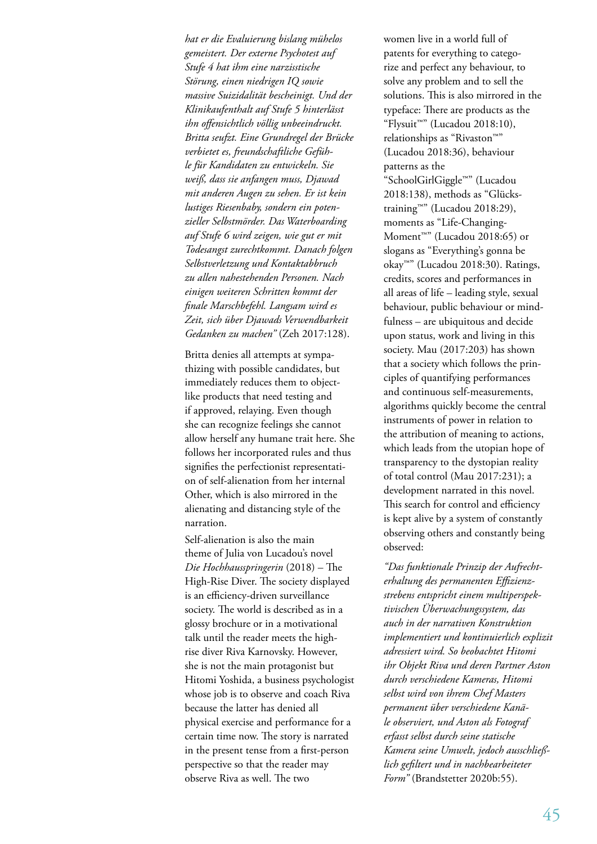*hat er die Evaluierung bislang mühelos gemeistert. Der externe Psychotest auf Stufe 4 hat ihm eine narzisstische Störung, einen niedrigen IQ sowie massive Suizidalität bescheinigt. Und der Klinikaufenthalt auf Stufe 5 hinterlässt ihn offensichtlich völlig unbeeindruckt. Britta seufzt. Eine Grundregel der Brücke verbietet es, freundschaftliche Gefühle für Kandidaten zu entwickeln. Sie weiß, dass sie anfangen muss, Djawad mit anderen Augen zu sehen. Er ist kein lustiges Riesenbaby, sondern ein potenzieller Selbstmörder. Das Waterboarding auf Stufe 6 wird zeigen, wie gut er mit Todesangst zurechtkommt. Danach folgen Selbstverletzung und Kontaktabbruch zu allen nahestehenden Personen. Nach einigen weiteren Schritten kommt der finale Marschbefehl. Langsam wird es Zeit, sich über Djawads Verwendbarkeit Gedanken zu machen"* (Zeh 2017:128).

Britta denies all attempts at sympathizing with possible candidates, but immediately reduces them to objectlike products that need testing and if approved, relaying. Even though she can recognize feelings she cannot allow herself any humane trait here. She follows her incorporated rules and thus signifies the perfectionist representation of self-alienation from her internal Other, which is also mirrored in the alienating and distancing style of the narration.

Self-alienation is also the main theme of Julia von Lucadou's novel *Die Hochhausspringerin* (2018) – The High-Rise Diver. The society displayed is an efficiency-driven surveillance society. The world is described as in a glossy brochure or in a motivational talk until the reader meets the highrise diver Riva Karnovsky. However, she is not the main protagonist but Hitomi Yoshida, a business psychologist whose job is to observe and coach Riva because the latter has denied all physical exercise and performance for a certain time now. The story is narrated in the present tense from a first-person perspective so that the reader may observe Riva as well. The two

women live in a world full of patents for everything to categorize and perfect any behaviour, to solve any problem and to sell the solutions. This is also mirrored in the typeface: There are products as the "Flysuit™" (Lucadou 2018:10), relationships as "Rivaston™" (Lucadou 2018:36), behaviour patterns as the "SchoolGirlGiggle™" (Lucadou 2018:138), methods as "Glückstraining™" (Lucadou 2018:29), moments as "Life-Changing-Moment™" (Lucadou 2018:65) or slogans as "Everything's gonna be okay™" (Lucadou 2018:30). Ratings, credits, scores and performances in all areas of life – leading style, sexual behaviour, public behaviour or mindfulness – are ubiquitous and decide upon status, work and living in this society. Mau (2017:203) has shown that a society which follows the principles of quantifying performances and continuous self-measurements, algorithms quickly become the central instruments of power in relation to the attribution of meaning to actions, which leads from the utopian hope of transparency to the dystopian reality of total control (Mau 2017:231); a development narrated in this novel. This search for control and efficiency is kept alive by a system of constantly observing others and constantly being observed:

*"Das funktionale Prinzip der Aufrechterhaltung des permanenten Effizienzstrebens entspricht einem multiperspektivischen Überwachungssystem, das auch in der narrativen Konstruktion implementiert und kontinuierlich explizit adressiert wird. So beobachtet Hitomi ihr Objekt Riva und deren Partner Aston durch verschiedene Kameras, Hitomi selbst wird von ihrem Chef Masters permanent über verschiedene Kanäle observiert, und Aston als Fotograf erfasst selbst durch seine statische Kamera seine Umwelt, jedoch ausschließlich gefiltert und in nachbearbeiteter Form"* (Brandstetter 2020b:55).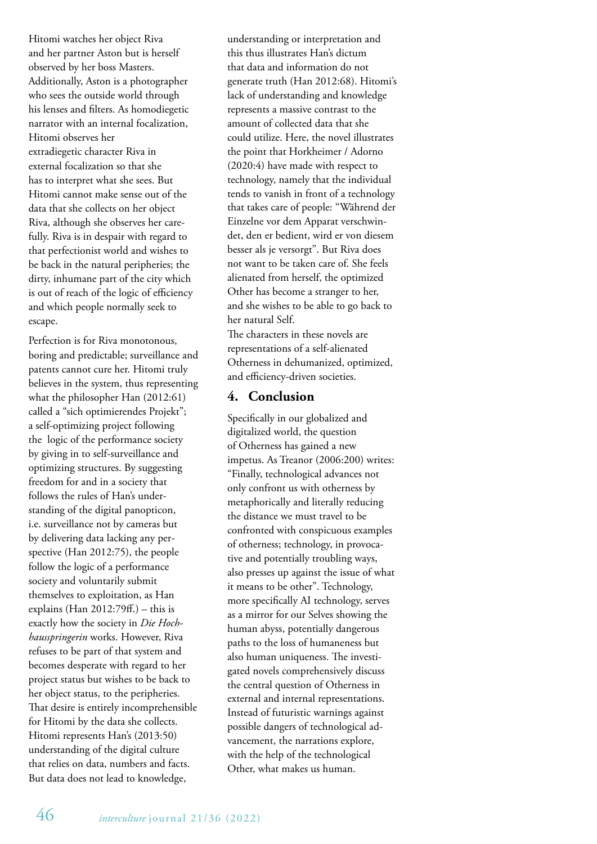Hitomi watches her object Riva and her partner Aston but is herself observed by her boss Masters. Additionally, Aston is a photographer who sees the outside world through his lenses and filters. As homodiegetic narrator with an internal focalization, Hitomi observes her extradiegetic character Riva in external focalization so that she has to interpret what she sees. But Hitomi cannot make sense out of the data that she collects on her object Riva, although she observes her carefully. Riva is in despair with regard to that perfectionist world and wishes to be back in the natural peripheries; the dirty, inhumane part of the city which is out of reach of the logic of efficiency and which people normally seek to escape.

Perfection is for Riva monotonous, boring and predictable; surveillance and patents cannot cure her. Hitomi truly believes in the system, thus representing what the philosopher Han (2012:61) called a "sich optimierendes Projekt"; a self-optimizing project following the logic of the performance society by giving in to self-surveillance and optimizing structures. By suggesting freedom for and in a society that follows the rules of Han's understanding of the digital panopticon, i.e. surveillance not by cameras but by delivering data lacking any perspective (Han 2012:75), the people follow the logic of a performance society and voluntarily submit themselves to exploitation, as Han explains (Han 2012:79ff.) – this is exactly how the society in *Die Hochhausspringerin* works. However, Riva refuses to be part of that system and becomes desperate with regard to her project status but wishes to be back to her object status, to the peripheries. That desire is entirely incomprehensible for Hitomi by the data she collects. Hitomi represents Han's (2013:50) understanding of the digital culture that relies on data, numbers and facts. But data does not lead to knowledge,

understanding or interpretation and this thus illustrates Han's dictum that data and information do not generate truth (Han 2012:68). Hitomi's lack of understanding and knowledge represents a massive contrast to the amount of collected data that she could utilize. Here, the novel illustrates the point that Horkheimer / Adorno (2020:4) have made with respect to technology, namely that the individual tends to vanish in front of a technology that takes care of people: "Während der Einzelne vor dem Apparat verschwindet, den er bedient, wird er von diesem besser als je versorgt". But Riva does not want to be taken care of. She feels alienated from herself, the optimized Other has become a stranger to her, and she wishes to be able to go back to her natural Self.

The characters in these novels are representations of a self-alienated Otherness in dehumanized, optimized, and efficiency-driven societies.

## **4. Conclusion**

Specifically in our globalized and digitalized world, the question of Otherness has gained a new impetus. As Treanor (2006:200) writes: "Finally, technological advances not only confront us with otherness by metaphorically and literally reducing the distance we must travel to be confronted with conspicuous examples of otherness; technology, in provocative and potentially troubling ways, also presses up against the issue of what it means to be other". Technology, more specifically AI technology, serves as a mirror for our Selves showing the human abyss, potentially dangerous paths to the loss of humaneness but also human uniqueness. The investigated novels comprehensively discuss the central question of Otherness in external and internal representations. Instead of futuristic warnings against possible dangers of technological advancement, the narrations explore, with the help of the technological Other, what makes us human.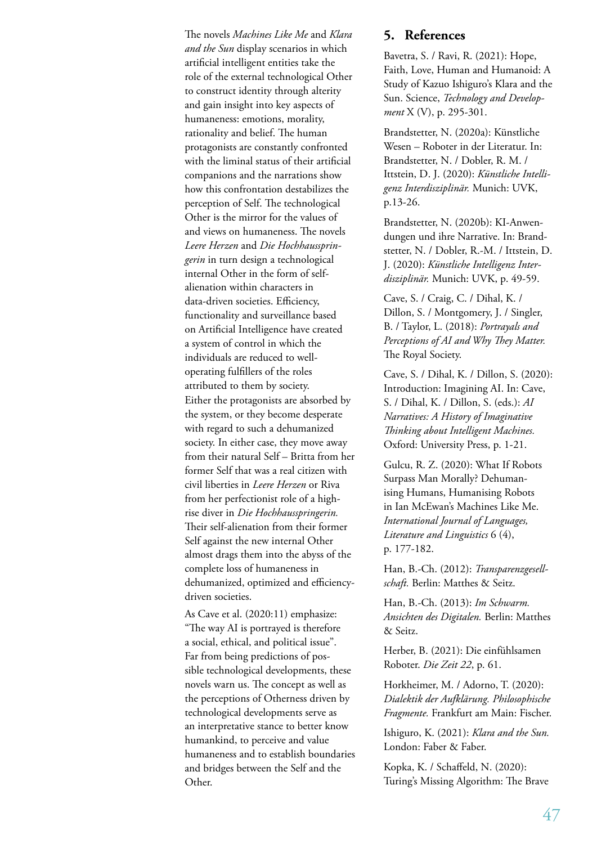The novels *Machines Like Me* and *Klara and the Sun* display scenarios in which artificial intelligent entities take the role of the external technological Other to construct identity through alterity and gain insight into key aspects of humaneness: emotions, morality, rationality and belief. The human protagonists are constantly confronted with the liminal status of their artificial companions and the narrations show how this confrontation destabilizes the perception of Self. The technological Other is the mirror for the values of and views on humaneness. The novels *Leere Herzen* and *Die Hochhausspringerin* in turn design a technological internal Other in the form of selfalienation within characters in data-driven societies. Efficiency, functionality and surveillance based on Artificial Intelligence have created a system of control in which the individuals are reduced to welloperating fulfillers of the roles attributed to them by society. Either the protagonists are absorbed by the system, or they become desperate with regard to such a dehumanized society. In either case, they move away from their natural Self – Britta from her former Self that was a real citizen with civil liberties in *Leere Herzen* or Riva from her perfectionist role of a highrise diver in *Die Hochhausspringerin.* Their self-alienation from their former Self against the new internal Other almost drags them into the abyss of the complete loss of humaneness in dehumanized, optimized and efficiencydriven societies.

As Cave et al. (2020:11) emphasize: "The way AI is portrayed is therefore a social, ethical, and political issue". Far from being predictions of possible technological developments, these novels warn us. The concept as well as the perceptions of Otherness driven by technological developments serve as an interpretative stance to better know humankind, to perceive and value humaneness and to establish boundaries and bridges between the Self and the Other.

## **5. References**

Bavetra, S. / Ravi, R. (2021): Hope, Faith, Love, Human and Humanoid: A Study of Kazuo Ishiguro's Klara and the Sun. Science, *Technology and Development* X (V), p. 295-301.

Brandstetter, N. (2020a): Künstliche Wesen – Roboter in der Literatur. In: Brandstetter, N. / Dobler, R. M. / Ittstein, D. J. (2020): *Künstliche Intelligenz Interdisziplinär.* Munich: UVK, p.13-26.

Brandstetter, N. (2020b): KI-Anwendungen und ihre Narrative. In: Brandstetter, N. / Dobler, R.-M. / Ittstein, D. J. (2020): *Künstliche Intelligenz Interdisziplinär.* Munich: UVK, p. 49-59.

Cave, S. / Craig, C. / Dihal, K. / Dillon, S. / Montgomery, J. / Singler, B. / Taylor, L. (2018): *Portrayals and Perceptions of AI and Why They Matter.* The Royal Society.

Cave, S. / Dihal, K. / Dillon, S. (2020): Introduction: Imagining AI. In: Cave, S. / Dihal, K. / Dillon, S. (eds.): *AI Narratives: A History of Imaginative Thinking about Intelligent Machines.* Oxford: University Press, p. 1-21.

Gulcu, R. Z. (2020): What If Robots Surpass Man Morally? Dehumanising Humans, Humanising Robots in Ian McEwan's Machines Like Me. *International Journal of Languages, Literature and Linguistics* 6 (4), p. 177-182.

Han, B.-Ch. (2012): *Transparenzgesellschaft.* Berlin: Matthes & Seitz.

Han, B.-Ch. (2013): *Im Schwarm. Ansichten des Digitalen.* Berlin: Matthes & Seitz.

Herber, B. (2021): Die einfühlsamen Roboter. *Die Zeit 22*, p. 61.

Horkheimer, M. / Adorno, T. (2020): *Dialektik der Aufklärung. Philosophische Fragmente.* Frankfurt am Main: Fischer.

Ishiguro, K. (2021): *Klara and the Sun.* London: Faber & Faber.

Kopka, K. / Schaffeld, N. (2020): Turing's Missing Algorithm: The Brave